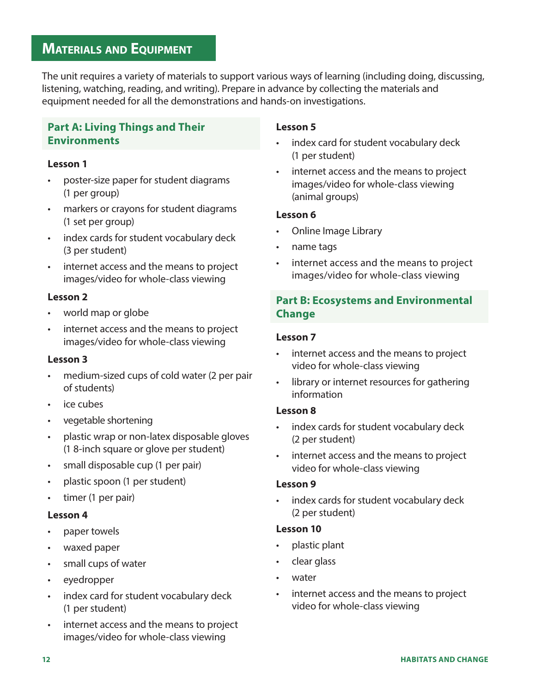# **MATERIALS AND EQUIPMENT**

The unit requires a variety of materials to support various ways of learning (including doing, discussing, listening, watching, reading, and writing). Prepare in advance by collecting the materials and equipment needed for all the demonstrations and hands-on investigations.

## **Part A: Living Things and Their Environments**

## **Lesson 1**

- poster-size paper for student diagrams (1 per group)
- markers or crayons for student diagrams (1 set per group)
- index cards for student vocabulary deck (3 per student)
- internet access and the means to project images/video for whole-class viewing

## **Lesson 2**

- world map or globe
- internet access and the means to project images/video for whole-class viewing

### **Lesson 3**

- medium-sized cups of cold water (2 per pair of students)
- ice cubes
- vegetable shortening
- plastic wrap or non-latex disposable gloves (1 8-inch square or glove per student)
- small disposable cup (1 per pair)
- plastic spoon (1 per student)
- timer (1 per pair)

### **Lesson 4**

- paper towels
- waxed paper
- small cups of water
- eyedropper
- index card for student vocabulary deck (1 per student)
- internet access and the means to project images/video for whole-class viewing

## **Lesson 5**

- index card for student vocabulary deck (1 per student)
- internet access and the means to project images/video for whole-class viewing (animal groups)

#### **Lesson 6**

- Online Image Library
- name tags
- internet access and the means to project images/video for whole-class viewing

## **Part B: Ecosystems and Environmental Change**

### **Lesson 7**

- internet access and the means to project video for whole-class viewing
- library or internet resources for gathering information

### **Lesson 8**

- index cards for student vocabulary deck (2 per student)
- internet access and the means to project video for whole-class viewing

#### **Lesson 9**

index cards for student vocabulary deck (2 per student)

## **Lesson 10**

- plastic plant
- clear glass
- water
- internet access and the means to project video for whole-class viewing